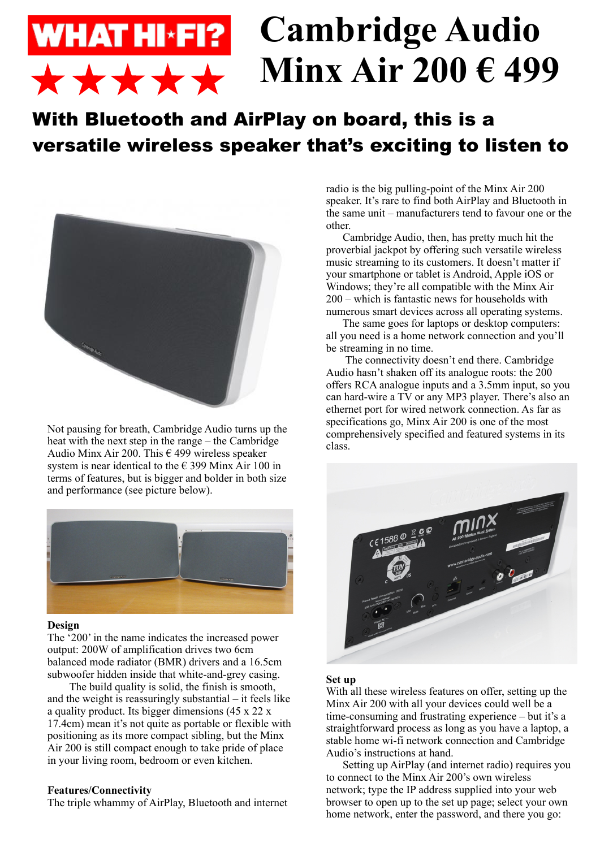## **Cambridge Audio WHAT HI\*FI? Minx Air 200 € 499\*\*\*\***

# With Bluetooth and AirPlay on board, this is a versatile wireless speaker that's exciting to listen to



Not pausing for breath, Cambridge Audio turns up the heat with the next step in the range – the Cambridge Audio Minx Air 200. This  $\epsilon$  499 wireless speaker system is near identical to the  $\epsilon$  399 Minx Air 100 in terms of features, but is bigger and bolder in both size and performance (see picture below).



#### **Design**

The '200' in the name indicates the increased power output: 200W of amplification drives two 6cm balanced mode radiator (BMR) drivers and a 16.5cm subwoofer hidden inside that white-and-grey casing.

 The build quality is solid, the finish is smooth, and the weight is reassuringly substantial – it feels like a quality product. Its bigger dimensions (45 x 22 x 17.4cm) mean it's not quite as portable or flexible with positioning as its more compact sibling, but the Minx Air 200 is still compact enough to take pride of place in your living room, bedroom or even kitchen.

## **Features/Connectivity**

The triple whammy of AirPlay, Bluetooth and internet

radio is the big pulling-point of the Minx Air 200 speaker. It's rare to find both AirPlay and Bluetooth in the same unit – manufacturers tend to favour one or the other.

 Cambridge Audio, then, has pretty much hit the proverbial jackpot by offering such versatile wireless music streaming to its customers. It doesn't matter if your smartphone or tablet is Android, Apple iOS or Windows; they're all compatible with the Minx Air 200 – which is fantastic news for households with numerous smart devices across all operating systems.

 The same goes for laptops or desktop computers: all you need is a home network connection and you'll be streaming in no time.

 The connectivity doesn't end there. Cambridge Audio hasn't shaken off its analogue roots: the 200 offers RCA analogue inputs and a 3.5mm input, so you can hard-wire a TV or any MP3 player. There's also an ethernet port for wired network connection. As far as specifications go, Minx Air 200 is one of the most comprehensively specified and featured systems in its class.



#### **Set up**

With all these wireless features on offer, setting up the Minx Air 200 with all your devices could well be a time-consuming and frustrating experience – but it's a straightforward process as long as you have a laptop, a stable home wi-fi network connection and Cambridge Audio's instructions at hand.

 Setting up AirPlay (and internet radio) requires you to connect to the Minx Air 200's own wireless network; type the IP address supplied into your web browser to open up to the set up page; select your own home network, enter the password, and there you go: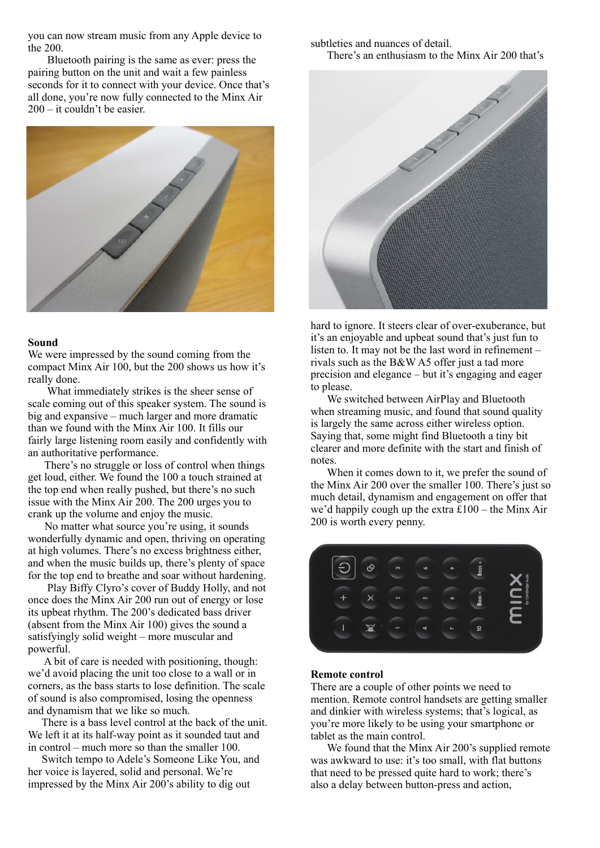you can now stream music from any Apple device to the 200.

 Bluetooth pairing is the same as ever: press the pairing button on the unit and wait a few painless seconds for it to connect with your device. Once that's all done, you're now fully connected to the Minx Air 200 – it couldn't be easier.



#### **Sound**

We were impressed by the sound coming from the compact Minx Air 100, but the 200 shows us how it's really done.

 What immediately strikes is the sheer sense of scale coming out of this speaker system. The sound is big and expansive – much larger and more dramatic than we found with the Minx Air 100. It fills our fairly large listening room easily and confidently with an authoritative performance.

 There's no struggle or loss of control when things get loud, either. We found the 100 a touch strained at the top end when really pushed, but there's no such issue with the Minx Air 200. The 200 urges you to crank up the volume and enjoy the music.

 No matter what source you're using, it sounds wonderfully dynamic and open, thriving on operating at high volumes. There's no excess brightness either, and when the music builds up, there's plenty of space for the top end to breathe and soar without hardening.

 Play Biffy Clyro's cover of Buddy Holly, and not once does the Minx Air 200 run out of energy or lose its upbeat rhythm. The 200's dedicated bass driver (absent from the Minx Air 100) gives the sound a satisfyingly solid weight – more muscular and powerful.

 A bit of care is needed with positioning, though: we'd avoid placing the unit too close to a wall or in corners, as the bass starts to lose definition. The scale of sound is also compromised, losing the openness and dynamism that we like so much.

 There is a bass level control at the back of the unit. We left it at its half-way point as it sounded taut and in control – much more so than the smaller 100.

 Switch tempo to Adele's Someone Like You, and her voice is layered, solid and personal. We're impressed by the Minx Air 200's ability to dig out

subtleties and nuances of detail.

There's an enthusiasm to the Minx Air 200 that's



hard to ignore. It steers clear of over-exuberance, but it's an enjoyable and upbeat sound that's just fun to listen to. It may not be the last word in refinement – rivals such as the B&W A5 offer just a tad more precision and elegance – but it's engaging and eager to please.

 We switched between AirPlay and Bluetooth when streaming music, and found that sound quality is largely the same across either wireless option. Saying that, some might find Bluetooth a tiny bit clearer and more definite with the start and finish of notes.

 When it comes down to it, we prefer the sound of the Minx Air 200 over the smaller 100. There's just so much detail, dynamism and engagement on offer that we'd happily cough up the extra £100 – the Minx Air 200 is worth every penny.



#### **Remote control**

There are a couple of other points we need to mention. Remote control handsets are getting smaller and dinkier with wireless systems; that's logical, as you're more likely to be using your smartphone or tablet as the main control.

 We found that the Minx Air 200's supplied remote was awkward to use: it's too small, with flat buttons that need to be pressed quite hard to work; there's also a delay between button-press and action,